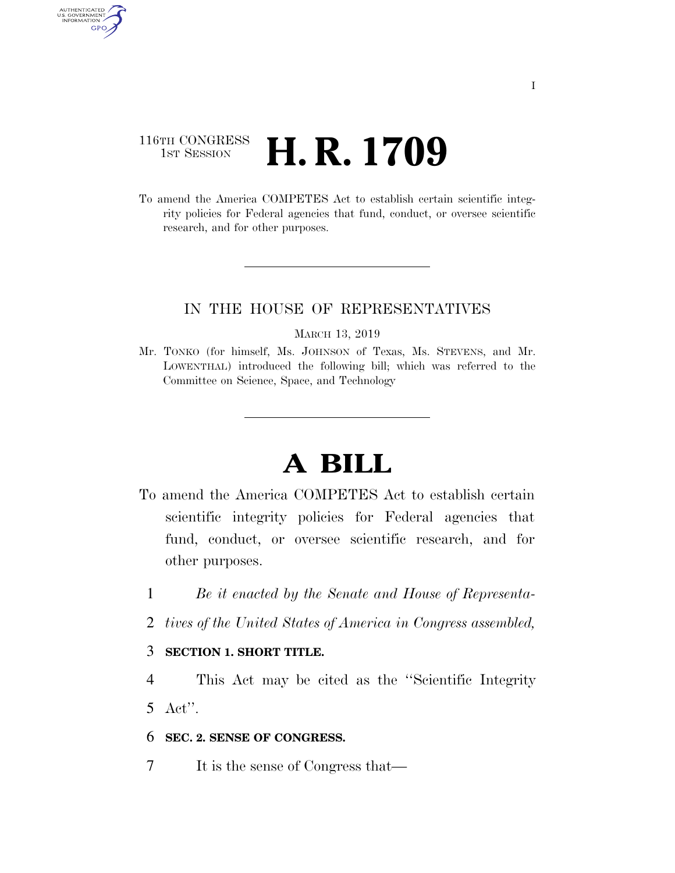# 116TH CONGRESS **1st Session H. R. 1709**

AUTHENTICATED<br>U.S. GOVERNMENT<br>INFORMATION GPO

> To amend the America COMPETES Act to establish certain scientific integrity policies for Federal agencies that fund, conduct, or oversee scientific research, and for other purposes.

# IN THE HOUSE OF REPRESENTATIVES

#### MARCH 13, 2019

Mr. TONKO (for himself, Ms. JOHNSON of Texas, Ms. STEVENS, and Mr. LOWENTHAL) introduced the following bill; which was referred to the Committee on Science, Space, and Technology

# **A BILL**

- To amend the America COMPETES Act to establish certain scientific integrity policies for Federal agencies that fund, conduct, or oversee scientific research, and for other purposes.
	- 1 *Be it enacted by the Senate and House of Representa-*
	- 2 *tives of the United States of America in Congress assembled,*

# 3 **SECTION 1. SHORT TITLE.**

4 This Act may be cited as the ''Scientific Integrity 5 Act''.

### 6 **SEC. 2. SENSE OF CONGRESS.**

7 It is the sense of Congress that—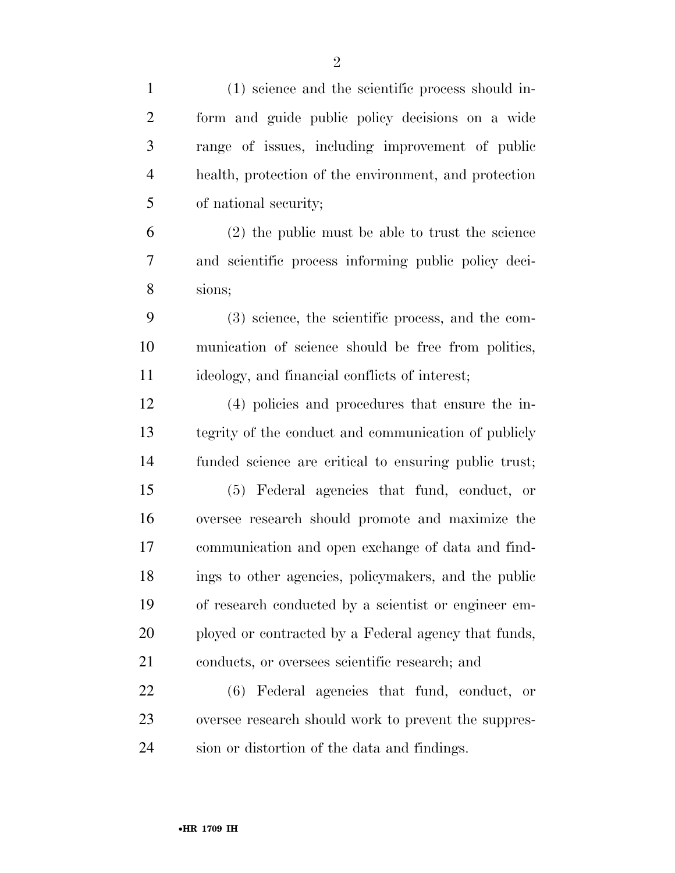| $\mathbf{1}$   | (1) science and the scientific process should in-     |
|----------------|-------------------------------------------------------|
| $\overline{2}$ | form and guide public policy decisions on a wide      |
| 3              | range of issues, including improvement of public      |
| $\overline{4}$ | health, protection of the environment, and protection |
| 5              | of national security;                                 |
| 6              | $(2)$ the public must be able to trust the science    |
| 7              | and scientific process informing public policy deci-  |
| $8\,$          | sions;                                                |
| 9              | (3) science, the scientific process, and the com-     |
| 10             | munication of science should be free from politics,   |
| 11             | ideology, and financial conflicts of interest;        |
| 12             | (4) policies and procedures that ensure the in-       |
| 13             | tegrity of the conduct and communication of publicly  |
| 14             | funded science are critical to ensuring public trust; |
| 15             | (5) Federal agencies that fund, conduct, or           |
| 16             | oversee research should promote and maximize the      |
| 17             | communication and open exchange of data and find-     |
| 18             | ings to other agencies, policymakers, and the public  |
| 19             | of research conducted by a scientist or engineer em-  |
| 20             | ployed or contracted by a Federal agency that funds,  |
| 21             | conducts, or oversees scientific research; and        |
| 22             | (6) Federal agencies that fund, conduct, or           |
| 23             | oversee research should work to prevent the suppres-  |
| 24             | sion or distortion of the data and findings.          |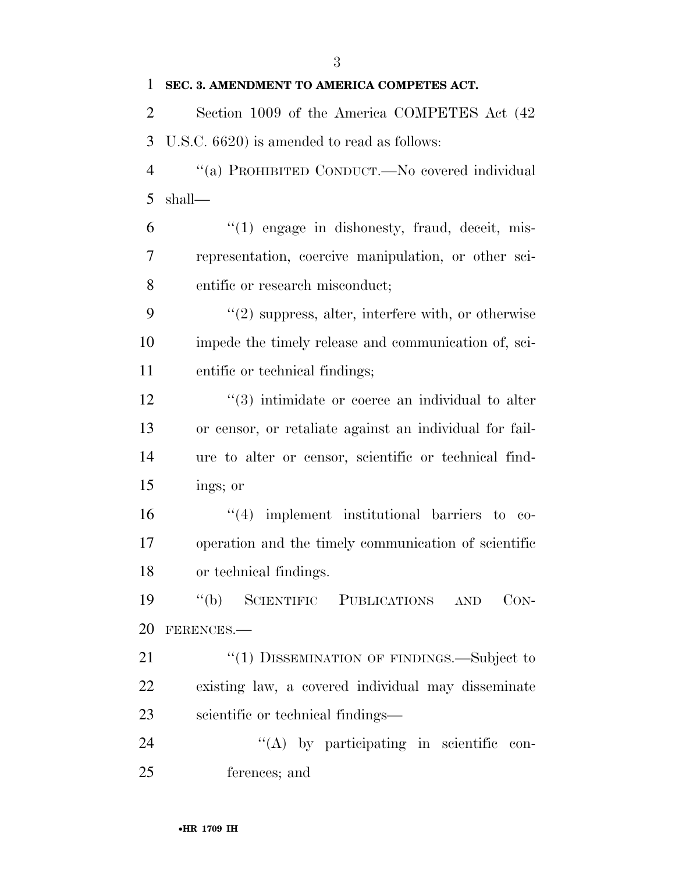### **SEC. 3. AMENDMENT TO AMERICA COMPETES ACT.**

 Section 1009 of the America COMPETES Act (42 U.S.C. 6620) is amended to read as follows:

 ''(a) PROHIBITED CONDUCT.—No covered individual shall—

 $(6)$   $\frac{1}{2}$   $(1)$  engage in dishonesty, fraud, deceit, mis- representation, coercive manipulation, or other sci-entific or research misconduct;

 ''(2) suppress, alter, interfere with, or otherwise impede the timely release and communication of, sci-entific or technical findings;

12 ''(3) intimidate or coerce an individual to alter or censor, or retaliate against an individual for fail- ure to alter or censor, scientific or technical find-ings; or

 ''(4) implement institutional barriers to co- operation and the timely communication of scientific or technical findings.

 ''(b) SCIENTIFIC PUBLICATIONS AND CON-FERENCES.—

21 "(1) DISSEMINATION OF FINDINGS.—Subject to existing law, a covered individual may disseminate scientific or technical findings—

24  $\langle (A) \rangle$  by participating in scientific con-ferences; and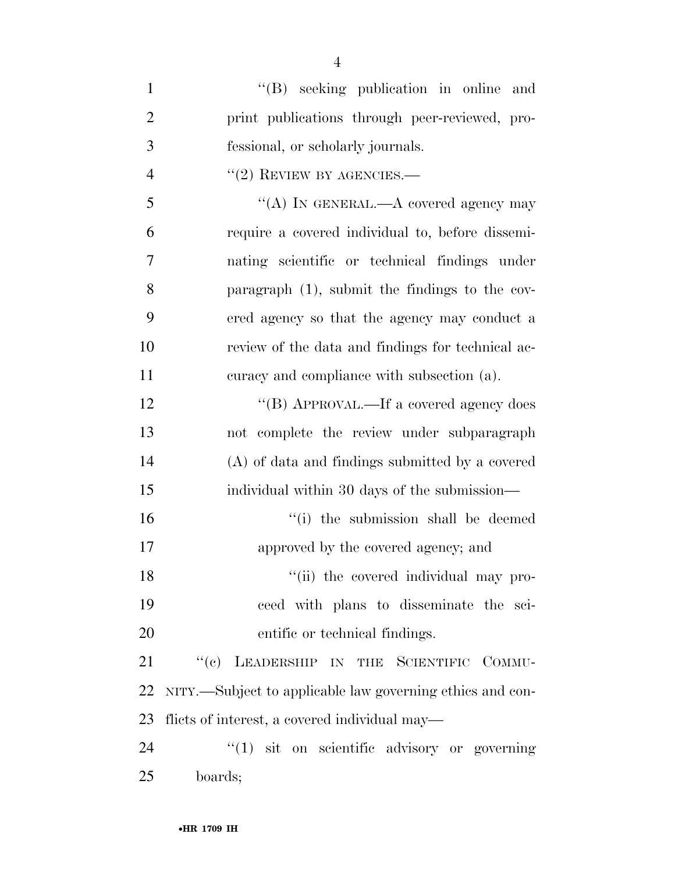| $\mathbf{1}$   | "(B) seeking publication in online and                    |  |
|----------------|-----------------------------------------------------------|--|
| $\overline{2}$ | print publications through peer-reviewed, pro-            |  |
| 3              | fessional, or scholarly journals.                         |  |
| $\overline{4}$ | $"(2)$ REVIEW BY AGENCIES.—                               |  |
| 5              | "(A) IN GENERAL.—A covered agency may                     |  |
| 6              | require a covered individual to, before dissemi-          |  |
| 7              | nating scientific or technical findings under             |  |
| 8              | paragraph $(1)$ , submit the findings to the cov-         |  |
| 9              | ered agency so that the agency may conduct a              |  |
| 10             | review of the data and findings for technical ac-         |  |
| 11             | curacy and compliance with subsection (a).                |  |
| 12             | "(B) APPROVAL.—If a covered agency does                   |  |
| 13             | not complete the review under subparagraph                |  |
| 14             | (A) of data and findings submitted by a covered           |  |
| 15             | individual within 30 days of the submission—              |  |
| 16             | "(i) the submission shall be deemed                       |  |
| 17             | approved by the covered agency; and                       |  |
| 18             | "(ii) the covered individual may pro-                     |  |
| 19             | ceed with plans to disseminate the sci-                   |  |
| 20             | entific or technical findings.                            |  |
| 21             | "(c) LEADERSHIP IN THE SCIENTIFIC COMMU-                  |  |
| 22             | NITY.—Subject to applicable law governing ethics and con- |  |
| 23             | flicts of interest, a covered individual may—             |  |
| 24             | $``(1)$ sit on scientific advisory or governing           |  |
| 25             | boards;                                                   |  |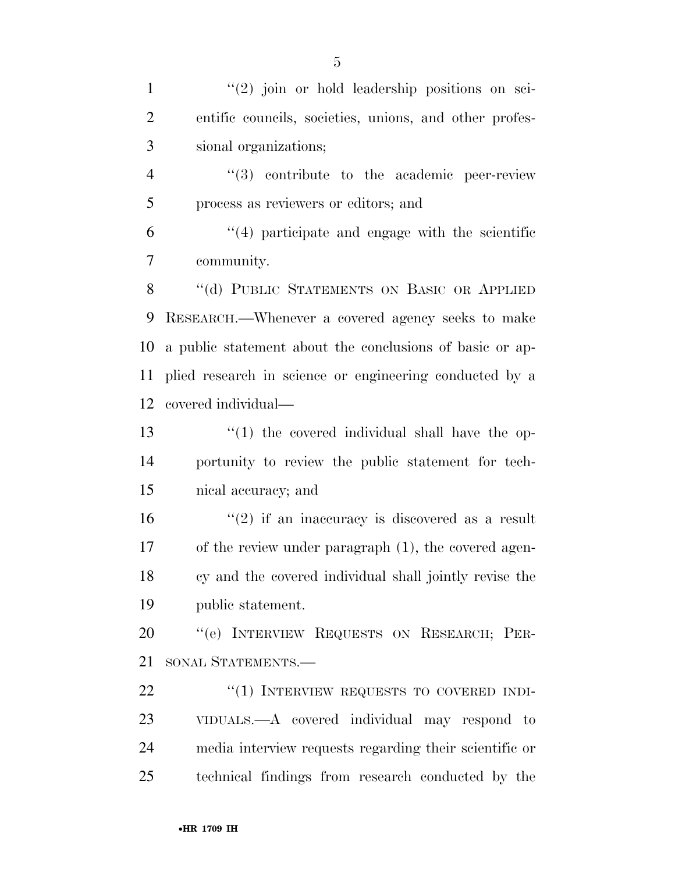1 ''(2) join or hold leadership positions on sci- entific councils, societies, unions, and other profes- sional organizations; ''(3) contribute to the academic peer-review process as reviewers or editors; and ''(4) participate and engage with the scientific community. 8 "(d) PUBLIC STATEMENTS ON BASIC OR APPLIED RESEARCH.—Whenever a covered agency seeks to make a public statement about the conclusions of basic or ap- plied research in science or engineering conducted by a covered individual— 13 ''(1) the covered individual shall have the op- portunity to review the public statement for tech- nical accuracy; and  $(2)$  if an inaccuracy is discovered as a result of the review under paragraph (1), the covered agen- cy and the covered individual shall jointly revise the public statement. ''(e) INTERVIEW REQUESTS ON RESEARCH; PER- SONAL STATEMENTS.— 22 "(1) INTERVIEW REQUESTS TO COVERED INDI- VIDUALS.—A covered individual may respond to media interview requests regarding their scientific or

technical findings from research conducted by the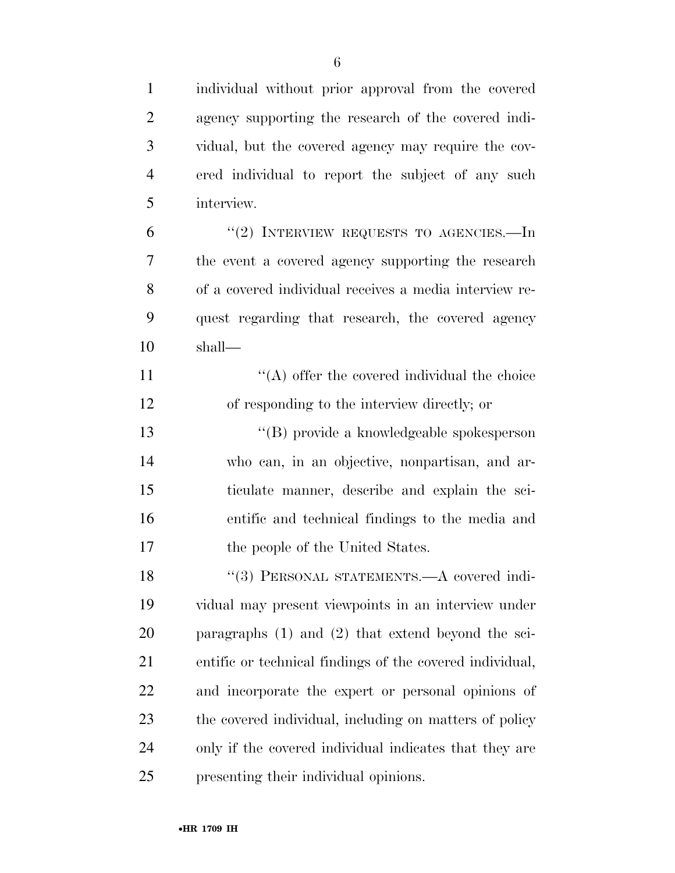| $\mathbf{1}$   | individual without prior approval from the covered       |
|----------------|----------------------------------------------------------|
| $\overline{2}$ | agency supporting the research of the covered indi-      |
| 3              | vidual, but the covered agency may require the cov-      |
| $\overline{4}$ | ered individual to report the subject of any such        |
| 5              | interview.                                               |
| 6              | "(2) INTERVIEW REQUESTS TO AGENCIES.—In                  |
| 7              | the event a covered agency supporting the research       |
| 8              | of a covered individual receives a media interview re-   |
| 9              | quest regarding that research, the covered agency        |
| 10             | shall—                                                   |
| 11             | $\lq\lq$ offer the covered individual the choice         |
| 12             | of responding to the interview directly; or              |
| 13             | "(B) provide a knowledgeable spokesperson                |
| 14             | who can, in an objective, nonpartisan, and ar-           |
| 15             | ticulate manner, describe and explain the sci-           |
| 16             | entific and technical findings to the media and          |
| 17             | the people of the United States.                         |
| 18             | "(3) PERSONAL STATEMENTS.—A covered indi-                |
| 19             | vidual may present viewpoints in an interview under      |
| 20             | paragraphs $(1)$ and $(2)$ that extend beyond the sci-   |
| 21             | entific or technical findings of the covered individual, |
| 22             | and incorporate the expert or personal opinions of       |
| 23             | the covered individual, including on matters of policy   |
| 24             | only if the covered individual indicates that they are   |
| 25             | presenting their individual opinions.                    |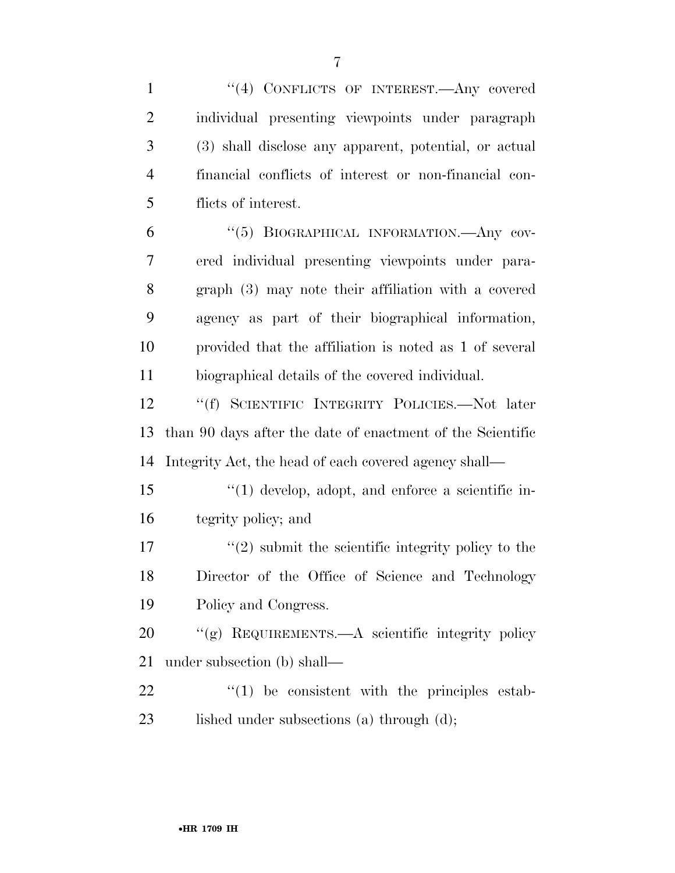| $\mathbf{1}$   | "(4) CONFLICTS OF INTEREST.—Any covered                    |  |
|----------------|------------------------------------------------------------|--|
| $\overline{2}$ | individual presenting viewpoints under paragraph           |  |
| 3              | (3) shall disclose any apparent, potential, or actual      |  |
| $\overline{4}$ | financial conflicts of interest or non-financial con-      |  |
| 5              | flicts of interest.                                        |  |
| 6              | "(5) BIOGRAPHICAL INFORMATION.—Any cov-                    |  |
| 7              | ered individual presenting viewpoints under para-          |  |
| 8              | graph (3) may note their affiliation with a covered        |  |
| 9              | agency as part of their biographical information,          |  |
| 10             | provided that the affiliation is noted as 1 of several     |  |
| 11             | biographical details of the covered individual.            |  |
| 12             | "(f) SCIENTIFIC INTEGRITY POLICIES.—Not later              |  |
| 13             | than 90 days after the date of enactment of the Scientific |  |
| 14             | Integrity Act, the head of each covered agency shall—      |  |
| 15             | $\lq(1)$ develop, adopt, and enforce a scientific in-      |  |
| 16             | tegrity policy; and                                        |  |
| 17             | $\lq(2)$ submit the scientific integrity policy to the     |  |
| 18             | Director of the Office of Science and Technology           |  |
| 19             | Policy and Congress.                                       |  |
| 20             | "(g) REQUIREMENTS.—A scientific integrity policy           |  |
| 21             | under subsection (b) shall—                                |  |
| 22             | $\lq(1)$ be consistent with the principles estab-          |  |
| 23             | lished under subsections (a) through $(d)$ ;               |  |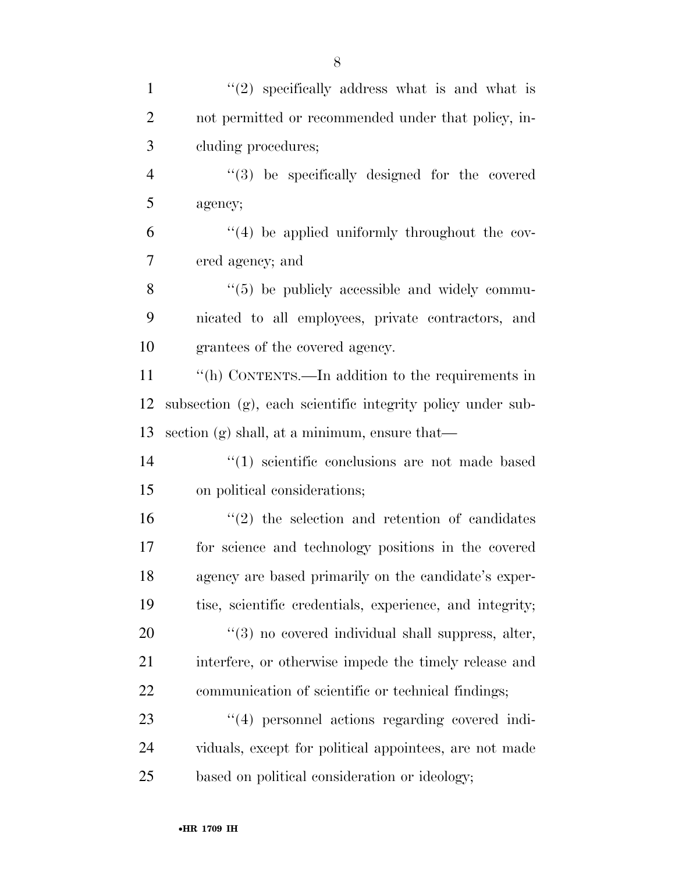$\frac{1}{2}$  specifically address what is and what is not permitted or recommended under that policy, in- cluding procedures; ''(3) be specifically designed for the covered agency;  $(4)$  be applied uniformly throughout the cov- ered agency; and 8 "(5) be publicly accessible and widely commu- nicated to all employees, private contractors, and grantees of the covered agency. ''(h) CONTENTS.—In addition to the requirements in subsection (g), each scientific integrity policy under sub- section (g) shall, at a minimum, ensure that— ''(1) scientific conclusions are not made based on political considerations;  $(2)$  the selection and retention of candidates for science and technology positions in the covered agency are based primarily on the candidate's exper- tise, scientific credentials, experience, and integrity;  $(3)$  no covered individual shall suppress, alter, interfere, or otherwise impede the timely release and communication of scientific or technical findings; 23 ''(4) personnel actions regarding covered indi- viduals, except for political appointees, are not made based on political consideration or ideology;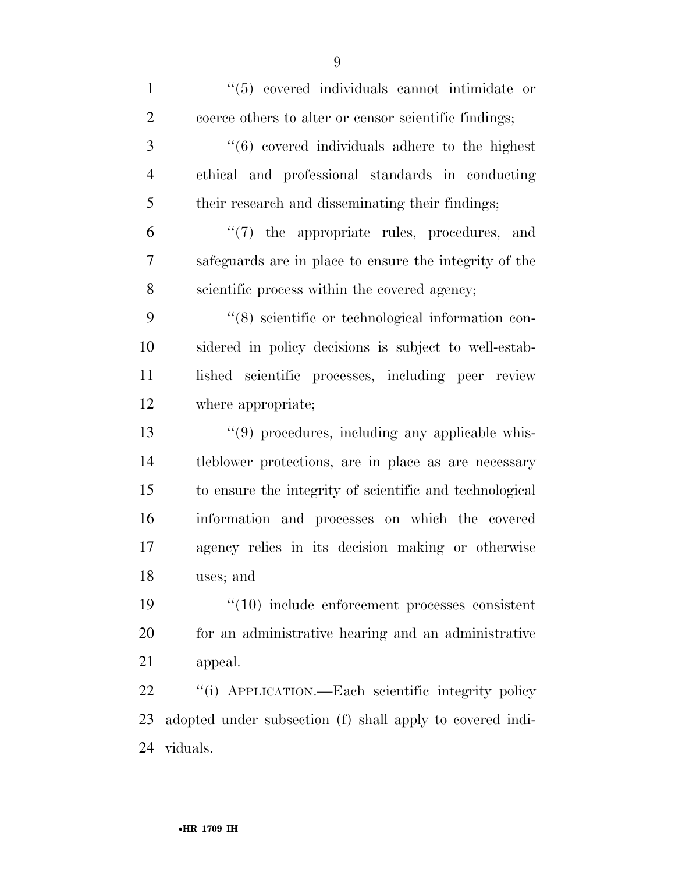| $\mathbf{1}$   | $\cdot$ (5) covered individuals cannot intimidate or           |
|----------------|----------------------------------------------------------------|
| $\overline{2}$ | coerce others to alter or censor scientific findings;          |
| 3              | $\cdot\cdot\cdot(6)$ covered individuals adhere to the highest |
| $\overline{4}$ | ethical and professional standards in conducting               |
| 5              | their research and disseminating their findings;               |
| 6              | "(7) the appropriate rules, procedures, and                    |
| 7              | safeguards are in place to ensure the integrity of the         |
| 8              | scientific process within the covered agency;                  |
| 9              | "(8) scientific or technological information con-              |
| 10             | sidered in policy decisions is subject to well-estab-          |
| 11             | lished scientific processes, including peer review             |
| 12             | where appropriate;                                             |
| 13             | $\lq(9)$ procedures, including any applicable whis-            |
| 14             | tleblower protections, are in place as are necessary           |
| 15             | to ensure the integrity of scientific and technological        |
| 16             | information and processes on which the covered                 |
| 17             | agency relies in its decision making or otherwise              |
| 18             | uses; and                                                      |
| 19             | $"(10)$ include enforcement processes consistent               |
| 20             | for an administrative hearing and an administrative            |
| 21             | appeal.                                                        |
| 22             | "(i) APPLICATION.—Each scientific integrity policy             |
| 23             | adopted under subsection (f) shall apply to covered indi-      |
| 24             | viduals.                                                       |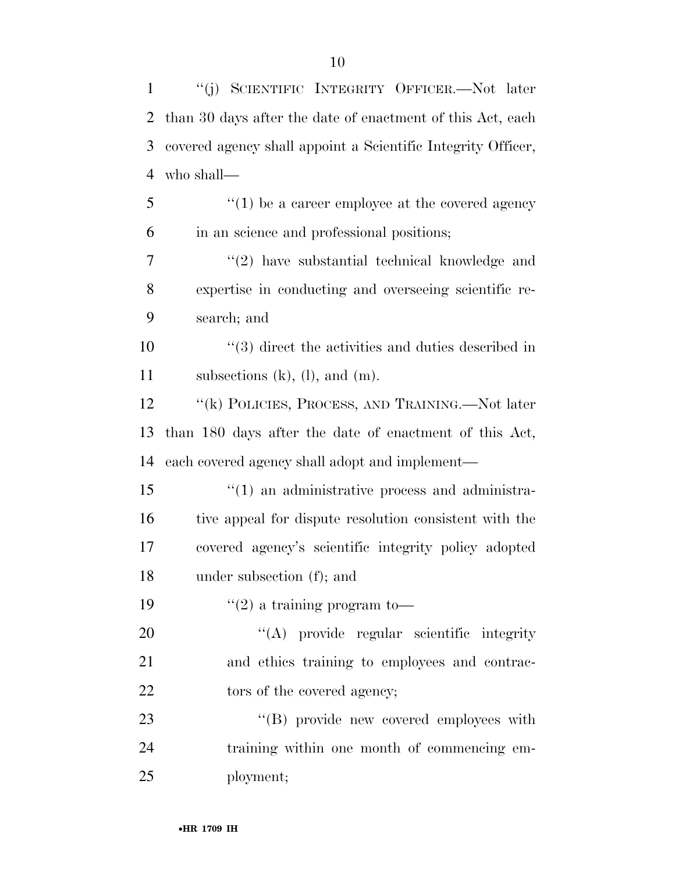| $\mathbf{1}$ | "(j) SCIENTIFIC INTEGRITY OFFICER.—Not later                 |
|--------------|--------------------------------------------------------------|
| 2            | than 30 days after the date of enactment of this Act, each   |
| 3            | covered agency shall appoint a Scientific Integrity Officer, |
| 4            | who shall—                                                   |
| 5            | $\lq(1)$ be a career employee at the covered agency          |
| 6            | in an science and professional positions;                    |
| 7            | "(2) have substantial technical knowledge and                |
| 8            | expertise in conducting and overseeing scientific re-        |
| 9            | search; and                                                  |
| 10           | $\cdot$ (3) direct the activities and duties described in    |
| 11           | subsections $(k)$ , $(l)$ , and $(m)$ .                      |
| 12           | "(k) POLICIES, PROCESS, AND TRAINING.—Not later              |
| 13           | than 180 days after the date of enactment of this Act,       |
| 14           | each covered agency shall adopt and implement—               |
| 15           | $"(1)$ an administrative process and administra-             |
| 16           | tive appeal for dispute resolution consistent with the       |
| 17           | covered agency's scientific integrity policy adopted         |
| 18           | under subsection (f); and                                    |
| 19           | $\lq(2)$ a training program to-                              |
| 20           | "(A) provide regular scientific integrity                    |
| 21           | and ethics training to employees and contrac-                |
| 22           | tors of the covered agency;                                  |
| 23           | "(B) provide new covered employees with                      |
| 24           | training within one month of commencing em-                  |
| 25           | ployment;                                                    |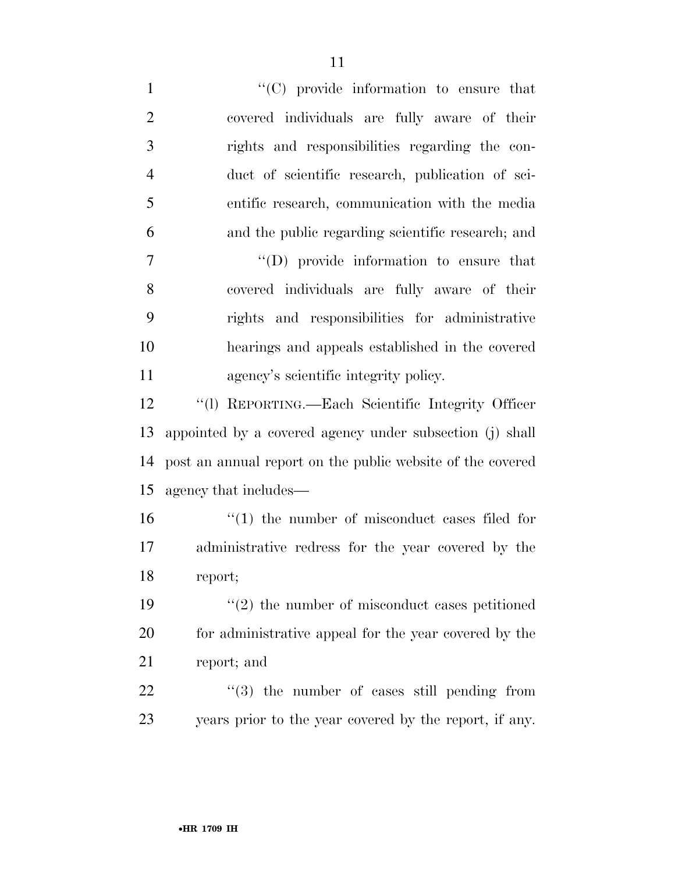$\lq\lq$  (C) provide information to ensure that covered individuals are fully aware of their rights and responsibilities regarding the con- duct of scientific research, publication of sci- entific research, communication with the media and the public regarding scientific research; and ''(D) provide information to ensure that covered individuals are fully aware of their rights and responsibilities for administrative hearings and appeals established in the covered agency's scientific integrity policy. ''(l) REPORTING.—Each Scientific Integrity Officer appointed by a covered agency under subsection (j) shall post an annual report on the public website of the covered agency that includes—  $\frac{1}{2}$  (1) the number of misconduct cases filed for administrative redress for the year covered by the report; ''(2) the number of misconduct cases petitioned for administrative appeal for the year covered by the report; and  $(3)$  the number of cases still pending from years prior to the year covered by the report, if any.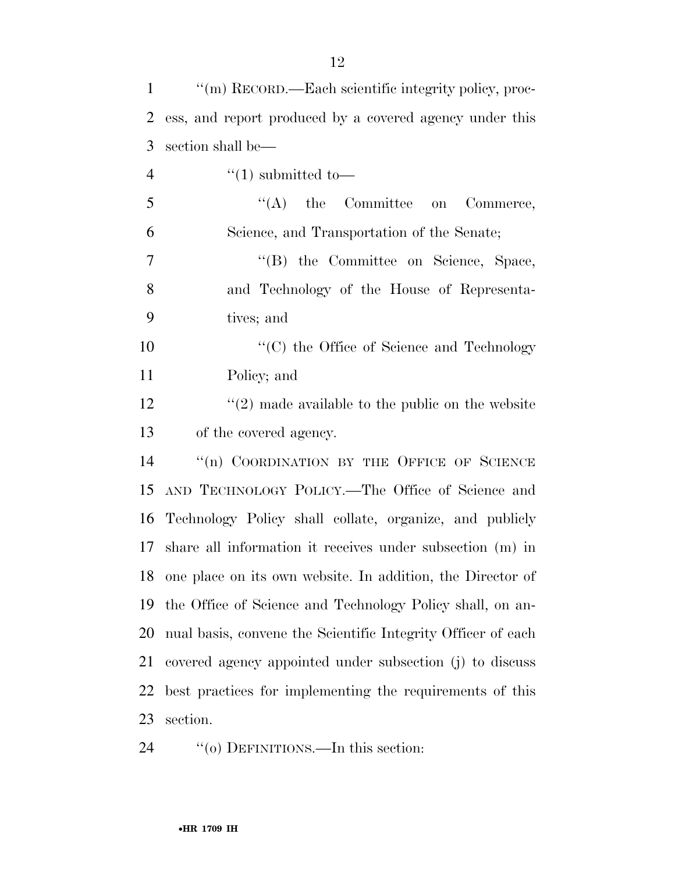| $\mathbf{1}$   | "(m) RECORD.—Each scientific integrity policy, proc-          |  |
|----------------|---------------------------------------------------------------|--|
| 2              | ess, and report produced by a covered agency under this       |  |
| 3              | section shall be—                                             |  |
| $\overline{4}$ | $\cdot\cdot(1)$ submitted to-                                 |  |
| 5              | $\lq\lq$ the Committee on Commerce,                           |  |
| 6              | Science, and Transportation of the Senate;                    |  |
| $\overline{7}$ | "(B) the Committee on Science, Space,                         |  |
| 8              | and Technology of the House of Representa-                    |  |
| 9              | tives; and                                                    |  |
| 10             | "(C) the Office of Science and Technology                     |  |
| 11             | Policy; and                                                   |  |
| 12             | $\lq(2)$ made available to the public on the website          |  |
| 13             | of the covered agency.                                        |  |
| 14             | "(n) COORDINATION BY THE OFFICE OF SCIENCE                    |  |
| 15             | AND TECHNOLOGY POLICY.—The Office of Science and              |  |
| 16             | Technology Policy shall collate, organize, and publicly       |  |
| 17             | share all information it receives under subsection (m) in     |  |
|                | 18 one place on its own website. In addition, the Director of |  |
| 19             | the Office of Science and Technology Policy shall, on an-     |  |
| 20             | nual basis, convene the Scientific Integrity Officer of each  |  |
| 21             | covered agency appointed under subsection (j) to discuss      |  |
| 22             | best practices for implementing the requirements of this      |  |
| 23             | section.                                                      |  |

24  $"$ (o) DEFINITIONS.—In this section: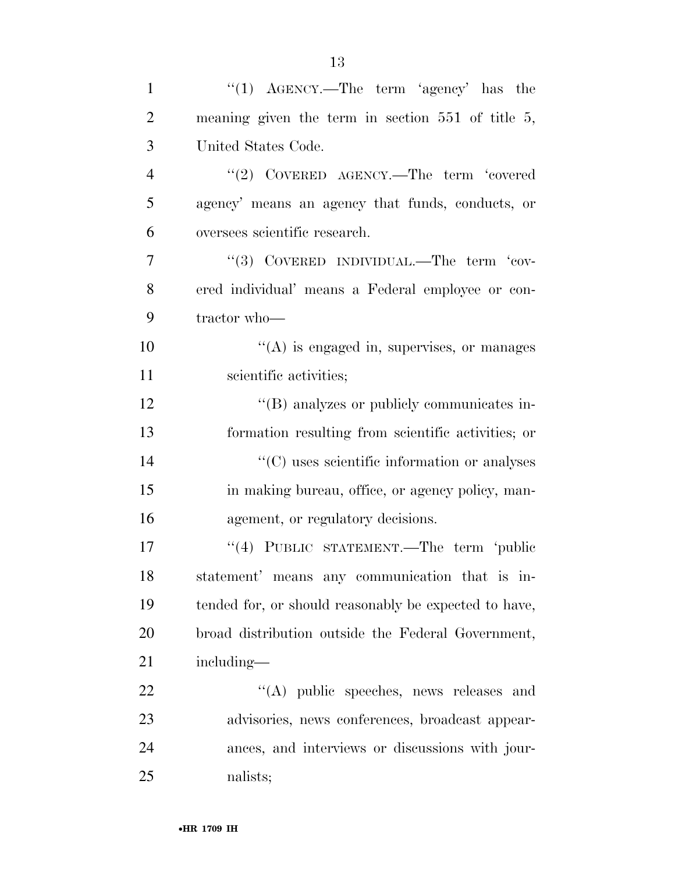| $\mathbf{1}$   | "(1) $\text{AGENCY.}$ —The term 'agency' has the      |
|----------------|-------------------------------------------------------|
| $\overline{2}$ | meaning given the term in section $551$ of title 5,   |
| 3              | United States Code.                                   |
| $\overline{4}$ | "(2) COVERED AGENCY.—The term 'covered                |
| 5              | agency' means an agency that funds, conducts, or      |
| 6              | oversees scientific research.                         |
| 7              | "(3) COVERED INDIVIDUAL.—The term 'cov-               |
| 8              | ered individual' means a Federal employee or con-     |
| 9              | tractor who-                                          |
| 10             | $\lq\lq$ is engaged in, supervises, or manages        |
| 11             | scientific activities;                                |
| 12             | "(B) analyzes or publicly communicates in-            |
| 13             | formation resulting from scientific activities; or    |
| 14             | $\lq\lq$ (C) uses scientific information or analyses  |
| 15             | in making bureau, office, or agency policy, man-      |
| 16             | agement, or regulatory decisions.                     |
| 17             | "(4) PUBLIC STATEMENT.—The term 'public               |
| 18             | statement' means any communication that is in-        |
| 19             | tended for, or should reasonably be expected to have, |
| 20             | broad distribution outside the Federal Government,    |
| 21             | including—                                            |
| 22             | "(A) public speeches, news releases and               |
| 23             | advisories, news conferences, broadcast appear-       |
| 24             | ances, and interviews or discussions with jour-       |
| 25             | nalists;                                              |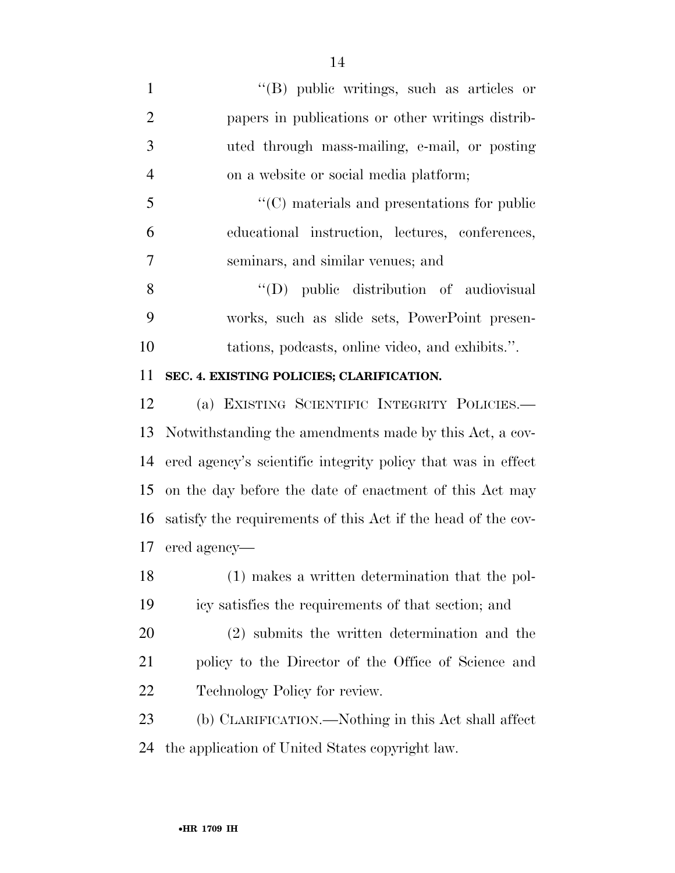| $\mathbf{1}$   | $\lq\lq$ (B) public writings, such as articles or         |
|----------------|-----------------------------------------------------------|
| $\overline{2}$ | papers in publications or other writings distrib-         |
| 3              | uted through mass-mailing, e-mail, or posting             |
| $\overline{4}$ | on a website or social media platform;                    |
| 5              | $\lq\lq$ materials and presentations for public           |
| 6              | educational instruction, lectures, conferences,           |
| $\overline{7}$ | seminars, and similar venues; and                         |
| 8              | "(D) public distribution of audiovisual                   |
| 9              | works, such as slide sets, PowerPoint presen-             |
| 10             | tations, podcasts, online video, and exhibits.".          |
| 11             | SEC. 4. EXISTING POLICIES; CLARIFICATION.                 |
| 12             | (a) EXISTING SCIENTIFIC INTEGRITY POLICIES.               |
|                | 13 Notwithstanding the amondments made by this Act a cov- |

 Notwithstanding the amendments made by this Act, a cov- ered agency's scientific integrity policy that was in effect on the day before the date of enactment of this Act may satisfy the requirements of this Act if the head of the cov-ered agency—

 (1) makes a written determination that the pol-icy satisfies the requirements of that section; and

 (2) submits the written determination and the policy to the Director of the Office of Science and Technology Policy for review.

 (b) CLARIFICATION.—Nothing in this Act shall affect the application of United States copyright law.